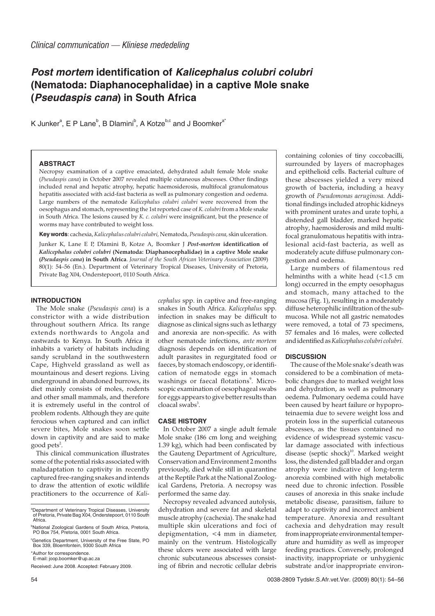# **Post mortem identification of Kalicephalus colubri colubri (Nematoda: Diaphanocephalidae) in a captive Mole snake (Pseudaspis cana) in South Africa**

K Junker<sup>a</sup>, E P Lane<sup>b</sup>, B Dlamini<sup>b</sup>, A Kotze<sup>b,c</sup> and J Boomker<sup>a\*</sup>

#### **ABSTRACT**

Necropsy examination of a captive emaciated, dehydrated adult female Mole snake (*Pseudaspis cana*) in October 2007 revealed multiple cutaneous abscesses. Other findings included renal and hepatic atrophy, hepatic haemosiderosis, multifocal granulomatous hepatitis associated with acid-fast bacteria as well as pulmonary congestion and oedema. Large numbers of the nematode *Kalicephalus colubri colubri* were recovered from the oesophagus and stomach, representing the 1st reported case of *K. colubri* from a Mole snake in South Africa. The lesions caused by *K. c. colubri* were insignificant, but the presence of worms may have contributed to weight loss.

**Key words**: cachexia,*Kalicephalus colubri colubri,* Nematoda,*Pseudaspis cana,* skin ulceration.

Junker K, Lane E P, Dlamini B, Kotze A, Boomker J *Post-mortem* **identification of** *Kalicephalus colubri colubri* **(Nematoda: Diaphanocephalidae) in a captive Mole snake (***Pseudaspis cana***) in South Africa**. *Journal of the South African Veterinary Association* (2009) 80(1): 54–56 (En.). Department of Veterinary Tropical Diseases, University of Pretoria, Private Bag X04, Onderstepoort, 0110 South Africa.

#### **INTRODUCTION**

The Mole snake (*Pseudaspis cana*) is a constrictor with a wide distribution throughout southern Africa. Its range extends northwards to Angola and eastwards to Kenya. In South Africa it inhabits a variety of habitats including sandy scrubland in the southwestern Cape, Highveld grassland as well as mountainous and desert regions. Living underground in abandoned burrows, its diet mainly consists of moles, rodents and other small mammals, and therefore it is extremely useful in the control of problem rodents. Although they are quite ferocious when captured and can inflict severe bites, Mole snakes soon settle down in captivity and are said to make good pets<sup>2</sup>.

This clinical communication illustrates some of the potential risks associated with maladaptation to captivity in recently captured free-ranging snakes and intends to draw the attention of exotic wildlife practitioners to the occurrence of *Kali-* *cephalus* spp. in captive and free-ranging snakes in South Africa. *Kalicephalus* spp. infection in snakes may be difficult to diagnose as clinical signs such as lethargy and anorexia are non-specific. As with other nematode infections, *ante mortem* diagnosis depends on identification of adult parasites in regurgitated food or faeces, by stomach endoscopy, or identification of nematode eggs in stomach washings or faecal flotations<sup>9</sup>. Microscopic examination of oesophageal swabs for eggs appears to give better results than cloacal swabs<sup>3</sup>.

## **CASE HISTORY**

In October 2007 a single adult female Mole snake (186 cm long and weighing 1.39 kg), which had been confiscated by the Gauteng Department of Agriculture, Conservation and Environment 2 months previously, died while still in quarantine at the Reptile Park at the National Zoological Gardens, Pretoria. A necropsy was performed the same day.

Necropsy revealed advanced autolysis, dehydration and severe fat and skeletal muscle atrophy (cachexia). The snake had multiple skin ulcerations and foci of depigmentation, <4 mm in diameter, mainly on the ventrum. Histologically these ulcers were associated with large chronic subcutaneous abscesses consisting of fibrin and necrotic cellular debris

containing colonies of tiny coccobacilli, surrounded by layers of macrophages and epithelioid cells. Bacterial culture of these abscesses yielded a very mixed growth of bacteria, including a heavy growth of *Pseudomonas aeruginosa.* Additional findings included atrophic kidneys with prominent urates and urate tophi, a distended gall bladder, marked hepatic atrophy, haemosiderosis and mild multifocal granulomatous hepatitis with intralesional acid-fast bacteria, as well as moderately acute diffuse pulmonary congestion and oedema.

Large numbers of filamentous red helminths with a white head (<1.5 cm long) occurred in the empty oesophagus and stomach, many attached to the mucosa (Fig. 1), resulting in a moderately diffuse heterophilic infiltration of the submucosa. While not all gastric nematodes were removed, a total of 73 specimens, 57 females and 16 males, were collected and identified as*Kalicephaluscolubri colubri.*

# **DISCUSSION**

The cause of the Mole snake's death was considered to be a combination of metabolic changes due to marked weight loss and dehydration, as well as pulmonary oedema. Pulmonary oedema could have been caused by heart failure or hypoproteinaemia due to severe weight loss and protein loss in the superficial cutaneous abscesses, as the tissues contained no evidence of widespread systemic vascular damage associated with infectious disease (septic shock)<sup>10</sup>. Marked weight loss, the distended gall bladder and organ atrophy were indicative of long-term anorexia combined with high metabolic need due to chronic infection. Possible causes of anorexia in this snake include metabolic disease, parasitism, failure to adapt to captivity and incorrect ambient temperature. Anorexia and resultant cachexia and dehydration may result from inappropriate environmental temperature and humidity as well as improper feeding practices. Conversely, prolonged inactivity, inappropriate or unhygienic substrate and/or inappropriate environ-

a Department of Veterinary Tropical Diseases, University of Pretoria, Private Bag X04, Onderstepoort, 0110 South Africa.

<sup>&</sup>lt;sup>b</sup>National Zoological Gardens of South Africa, Pretoria,<br>PO Box 754, Pretoria, 0001 South Africa.

<sup>&</sup>lt;sup>c</sup>Genetics Department, University of the Free State, PO Box 339, Bloemfontein, 9300 South Africa

<sup>\*</sup>Author for correspondence. E-mail: joop.boomker@up.ac.za

Received: June 2008. Accepted: February 2009.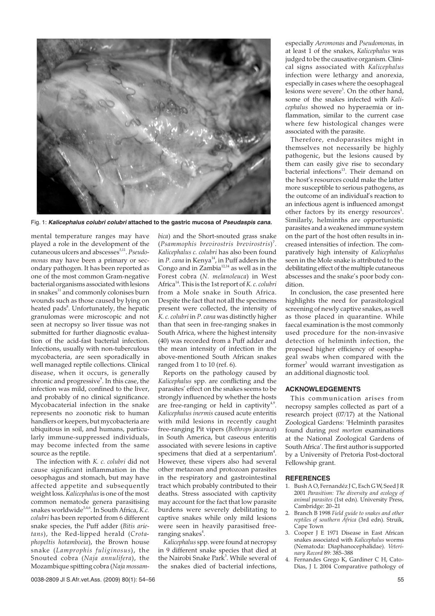

Fig. 1: **Kalicephalus colubri colubri attached to the gastric mucosa of Pseudaspis cana.**

mental temperature ranges may have played a role in the development of the cutaneous ulcers and abscesses<sup>5,11</sup>. *Pseudomonas* may have been a primary or secondary pathogen. It has been reported as one of the most common Gram-negative bacterial organisms associated with lesions in snakes<sup>11</sup> and commonly colonises burn wounds such as those caused by lying on heated pads<sup>8</sup>. Unfortunately, the hepatic granulomas were microscopic and not seen at necropsy so liver tissue was not submitted for further diagnostic evaluation of the acid-fast bacterial infection. Infections, usually with non-tuberculous mycobacteria, are seen sporadically in well managed reptile collections. Clinical disease, when it occurs, is generally chronic and progressive<sup>9</sup>. In this case, the infection was mild, confined to the liver, and probably of no clinical significance. Mycobacaterial infection in the snake represents no zoonotic risk to human handlers or keepers, but mycobacteria are ubiquitous in soil, and humans, particularly immune-suppressed individuals, may become infected from the same source as the reptile.

The infection with *K. c. colubri* did not cause significant inflammation in the oesophagus and stomach, but may have affected appetite and subsequently weight loss. *Kalicephalus*is one of the most common nematode genera parasitising snakes worldwide<sup>3,4,6</sup>. In South Africa, *K.c. colubri* has been reported from 6 different snake species, the Puff adder (*Bitis arietans*), the Red-lipped herald (*Crotaphopeltis hotamboeia*), the Brown house snake (*Lamprophis fuliginosus*), the Snouted cobra (*Naja annulifera*), the Mozambique spitting cobra (*Naja mossam-* *bica*) and the Short-snouted grass snake (*Psammophis brevirostris brevirostris*) 7 . *Kalicephalus c. colubri* has also been found in *P. cana* in Kenya<sup>14</sup>, in Puff adders in the Congo and in  $Zambia^{12,14}$  as well as in the Forest cobra (*N. melanoleuca*) in West Africa14. This is the 1st report of *K. c. colubri* from a Mole snake in South Africa. Despite the fact that not all the specimens present were collected, the intensity of *K. c. colubri* in *P. cana* was distinctly higher than that seen in free-ranging snakes in South Africa, where the highest intensity (40) was recorded from a Puff adder and the mean intensity of infection in the above-mentioned South African snakes ranged from 1 to 10 (ref. 6).

Reports on the pathology caused by *Kalicephalus* spp. are conflicting and the parasites' effect on the snakes seems to be strongly influenced by whether the hosts are free-ranging or held in captivity $4.9$ . *Kalicephalus inermis* caused acute enteritis with mild lesions in recently caught free-ranging Pit vipers (*Bothrops jacaraca*) in South America, but caseous enteritis associated with severe lesions in captive specimens that died at a serpentarium<sup>4</sup>. However, these vipers also had several other metazoan and protozoan parasites in the respiratory and gastrointestinal tract which probably contributed to their deaths. Stress associated with captivity may account for the fact that low parasite burdens were severely debilitating to captive snakes while only mild lesions were seen in heavily parasitised freeranging snakes<sup>4</sup>.

*Kalicephalus* spp. were found at necropsy in 9 different snake species that died at the Nairobi Snake Park<sup>3</sup>. While several of the snakes died of bacterial infections,

especially *Aeromonas* and *Pseudomonas,* in at least 1 of the snakes, *Kalicephalus* was judged to be the causative organism. Clinical signs associated with *Kalicephalus* infection were lethargy and anorexia, especially in cases where the oesophageal lesions were severe<sup>3</sup>. On the other hand, some of the snakes infected with *Kalicephalus* showed no hyperaemia or inflammation, similar to the current case where few histological changes were associated with the parasite.

Therefore, endoparasites might in themselves not necessarily be highly pathogenic, but the lesions caused by them can easily give rise to secondary bacterial infections<sup>13</sup>. Their demand on the host's resources could make the latter more susceptible to serious pathogens, as the outcome of an individual's reaction to an infectious agent is influenced amongst other factors by its energy resources<sup>1</sup>. Similarly, helminths are opportunistic parasites and a weakened immune system on the part of the host often results in increased intensities of infection. The comparatively high intensity of *Kalicephalus* seen in the Mole snake is attributed to the debilitating effect of the multiple cutaneous abscesses and the snake's poor body condition.

In conclusion, the case presented here highlights the need for parasitological screening of newly captive snakes, as well as those placed in quarantine. While faecal examination is the most commonly used procedure for the non-invasive detection of helminth infection, the proposed higher efficiency of oesophageal swabs when compared with the former<sup>3</sup> would warrant investigation as an additional diagnostic tool.

## **ACKNOWLEDGEMENTS**

This communication arises from necropsy samples collected as part of a research project (07/17) at the National Zoological Gardens: 'Helminth parasites found during *post mortem* examinations at the National Zoological Gardens of South Africa'. The first author is supported by a University of Pretoria Post-doctoral Fellowship grant.

### **REFERENCES**

- 1. Bush A O, Fernandéz J C, Esch G W, Seed J R 2001 *Parasitism: The diversity and ecology of animal parasites* (1st edn). University Press, Cambridge: 20–21
- 2. Branch B 1998 *Field guide to snakes and other reptiles of southern Africa* (3rd edn). Struik, Cape Town
- 3. Cooper J E 1971 Disease in East African snakes associated with *Kalicephalus* worms (Nematoda: Diaphanocephalidae). *Veterinary Record* 89: 385–388
- 4. Fernandes Grego K, Gardiner C H, Cato-Dias, J L 2004 Comparative pathology of